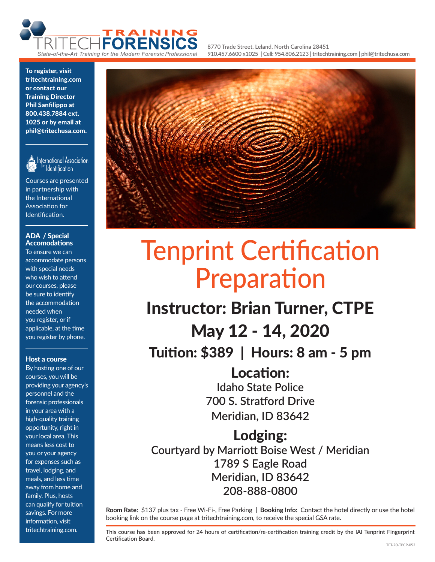

**8770 Trade Street, Leland, North Carolina 28451 910.457.6600 x1025 | Cell: 954.806.2123 | tritechtraining.com | phil@tritechusa.com**

To register, visit tritechtraining.com or contact our Training Director Phil Sanfilippo at 800.438.7884 ext. 1025 or by email at phil@tritechusa.com.



International Association **Identification** 

Courses are presented in partnership with the International Association for Identification.

#### ADA / Special Accomodations

To ensure we can accommodate persons with special needs who wish to attend our courses, please be sure to identify the accommodation needed when you register, or if applicable, at the time you register by phone.

#### Host a course

By hosting one of our courses, you will be providing your agency's personnel and the forensic professionals in your area with a high-quality training opportunity, right in your local area. This means less cost to you or your agency for expenses such as travel, lodging, and meals, and less time away from home and family. Plus, hosts can qualify for tuition savings. For more information, visit tritechtraining.com.



# Tenprint Certification Preparation

## Instructor: Brian Turner, CTPE May 12 - 14, 2020 Tuition: \$389 | Hours: 8 am - 5 pm

Location: **Idaho State Police 700 S. Stratford Drive Meridian, ID 83642**

Lodging: **Courtyard by Marriott Boise West / Meridian 1789 S Eagle Road Meridian, ID 83642 208-888-0800**

**Room Rate:** \$137 plus tax - Free Wi-Fi-, Free Parking | **Booking Info:** Contact the hotel directly or use the hotel booking link on the course page at tritechtraining.com, to receive the special GSA rate.

This course has been approved for 24 hours of certification/re-certification training credit by the IAI Tenprint Fingerprint Certification Board.